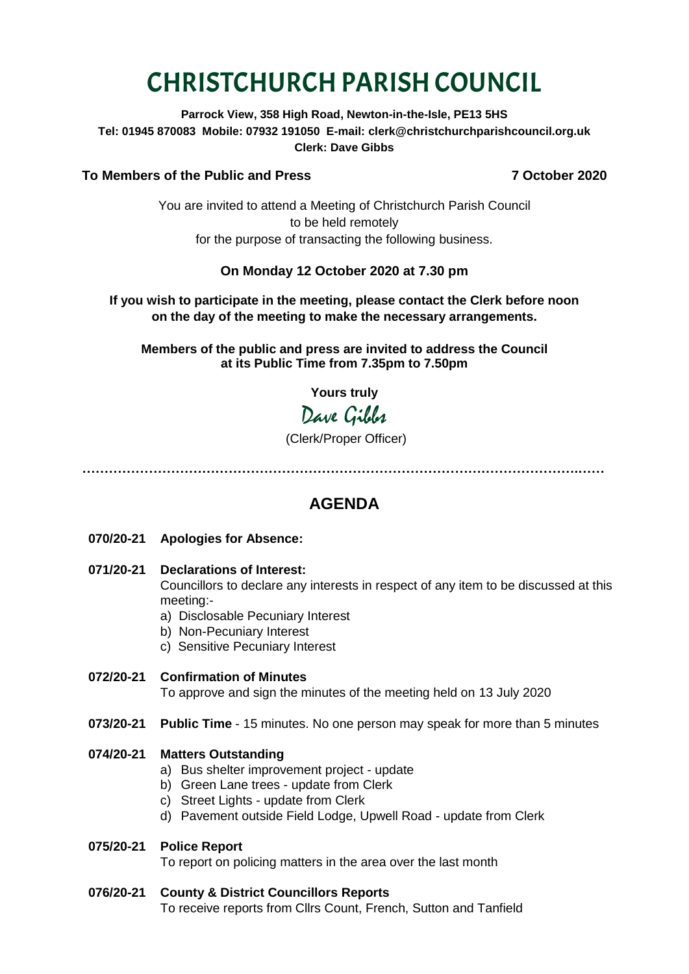# CHRISTCHURCH PARISH COUNCIL

**Parrock View, 358 High Road, Newton-in-the-Isle, PE13 5HS Tel: 01945 870083 Mobile: 07932 191050 E-mail: clerk@christchurchparishcouncil.org.uk Clerk: Dave Gibbs**

#### **To Members of the Public and Press 7 October 2020**

You are invited to attend a Meeting of Christchurch Parish Council to be held remotely for the purpose of transacting the following business.

#### **On Monday 12 October 2020 at 7.30 pm**

#### **If you wish to participate in the meeting, please contact the Clerk before noon on the day of the meeting to make the necessary arrangements.**

**Members of the public and press are invited to address the Council at its Public Time from 7.35pm to 7.50pm**

**Yours truly**

## Dave Gibbs

(Clerk/Proper Officer)

**………………………………………………………………………………………………….……**

### **AGENDA**

- **070/20-21 Apologies for Absence:**
- **071/20-21 Declarations of Interest:**

Councillors to declare any interests in respect of any item to be discussed at this meeting:-

- a) Disclosable Pecuniary Interest
- b) Non-Pecuniary Interest
- c) Sensitive Pecuniary Interest
- **072/20-21 Confirmation of Minutes**  To approve and sign the minutes of the meeting held on 13 July 2020
- **073/20-21 Public Time** 15 minutes. No one person may speak for more than 5 minutes

#### **074/20-21 Matters Outstanding**

- a) Bus shelter improvement project update
- b) Green Lane trees update from Clerk
- c) Street Lights update from Clerk
- d) Pavement outside Field Lodge, Upwell Road update from Clerk

#### **075/20-21 Police Report**

To report on policing matters in the area over the last month

#### **076/20-21 County & District Councillors Reports**

To receive reports from Cllrs Count, French, Sutton and Tanfield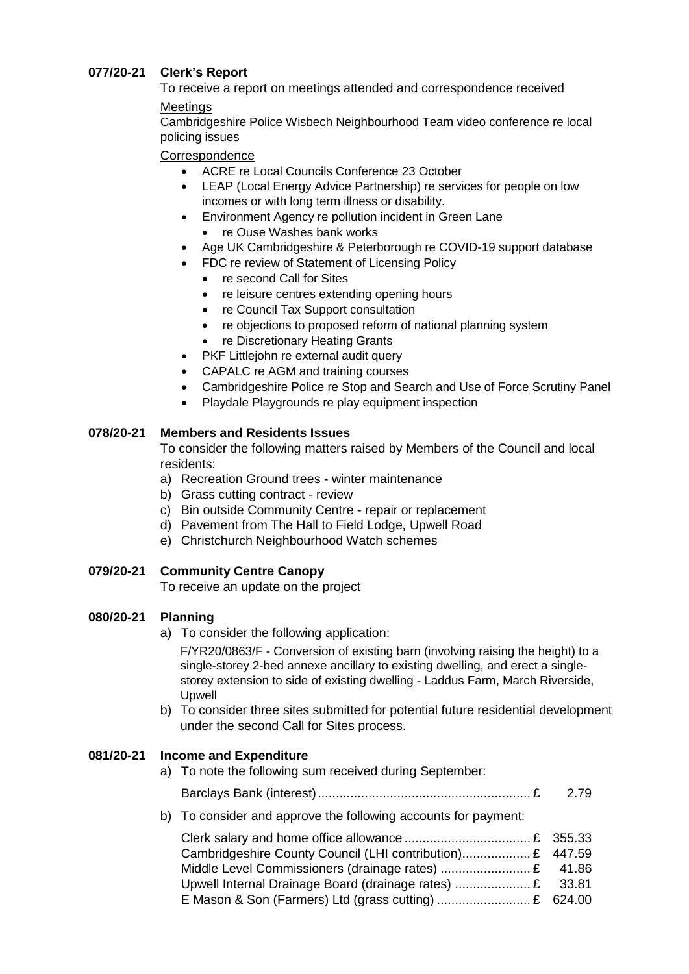#### **077/20-21 Clerk's Report**

To receive a report on meetings attended and correspondence received

#### **Meetings**

Cambridgeshire Police Wisbech Neighbourhood Team video conference re local policing issues

#### **Correspondence**

- ACRE re Local Councils Conference 23 October
- LEAP (Local Energy Advice Partnership) re services for people on low incomes or with long term illness or disability.
- Environment Agency re pollution incident in Green Lane
	- re Ouse Washes bank works
- Age UK Cambridgeshire & Peterborough re COVID-19 support database
- FDC re review of Statement of Licensing Policy
	- re second Call for Sites
	- re leisure centres extending opening hours
	- re Council Tax Support consultation
	- re objections to proposed reform of national planning system
	- re Discretionary Heating Grants
- PKF Littleiohn re external audit query
- CAPALC re AGM and training courses
- Cambridgeshire Police re Stop and Search and Use of Force Scrutiny Panel
- Playdale Playgrounds re play equipment inspection

#### **078/20-21 Members and Residents Issues**

To consider the following matters raised by Members of the Council and local residents:

- a) Recreation Ground trees winter maintenance
- b) Grass cutting contract review
- c) Bin outside Community Centre repair or replacement
- d) Pavement from The Hall to Field Lodge, Upwell Road
- e) Christchurch Neighbourhood Watch schemes

#### **079/20-21 Community Centre Canopy**

To receive an update on the project

#### **080/20-21 Planning**

a) To consider the following application:

F/YR20/0863/F - Conversion of existing barn (involving raising the height) to a single-storey 2-bed annexe ancillary to existing dwelling, and erect a singlestorey extension to side of existing dwelling - Laddus Farm, March Riverside, Upwell

b) To consider three sites submitted for potential future residential development under the second Call for Sites process.

#### **081/20-21 Income and Expenditure**

a) To note the following sum received during September:

Barclays Bank (interest)........................................................... £ 2.79

b) To consider and approve the following accounts for payment:

| Cambridgeshire County Council (LHI contribution) £ 447.59 |  |
|-----------------------------------------------------------|--|
|                                                           |  |
| Upwell Internal Drainage Board (drainage rates)  £ 33.81  |  |
|                                                           |  |